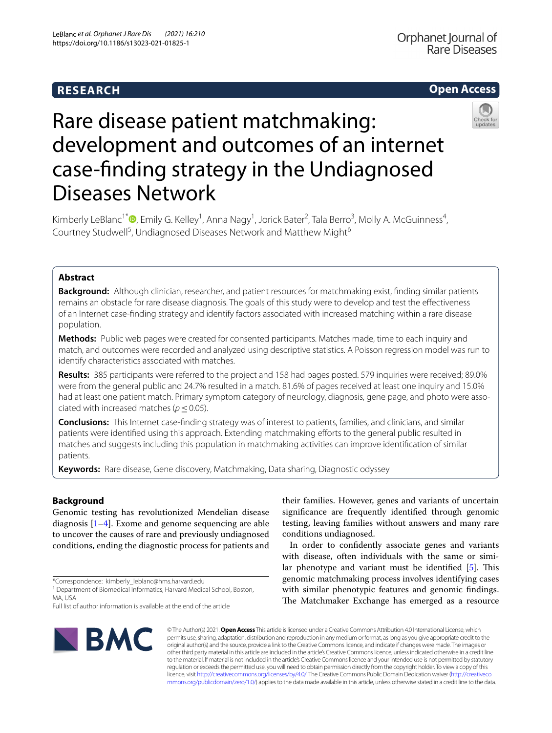# **RESEARCH**

# **Open Access**



# Rare disease patient matchmaking: development and outcomes of an internet case-fnding strategy in the Undiagnosed Diseases Network

Kimberly LeBlanc<sup>1\*</sup><sup>®</sup>[,](http://orcid.org/0000-0003-3828-9447) Emily G. Kelley<sup>1</sup>, Anna Nagy<sup>1</sup>, Jorick Bater<sup>2</sup>, Tala Berro<sup>3</sup>, Molly A. McGuinness<sup>4</sup>, Courtney Studwell<sup>5</sup>, Undiagnosed Diseases Network and Matthew Might<sup>6</sup>

# **Abstract**

**Background:** Although clinician, researcher, and patient resources for matchmaking exist, fnding similar patients remains an obstacle for rare disease diagnosis. The goals of this study were to develop and test the efectiveness of an Internet case-fnding strategy and identify factors associated with increased matching within a rare disease population.

**Methods:** Public web pages were created for consented participants. Matches made, time to each inquiry and match, and outcomes were recorded and analyzed using descriptive statistics. A Poisson regression model was run to identify characteristics associated with matches.

**Results:** 385 participants were referred to the project and 158 had pages posted. 579 inquiries were received; 89.0% were from the general public and 24.7% resulted in a match. 81.6% of pages received at least one inquiry and 15.0% had at least one patient match. Primary symptom category of neurology, diagnosis, gene page, and photo were associated with increased matches ( $p \leq 0.05$ ).

**Conclusions:** This Internet case-fnding strategy was of interest to patients, families, and clinicians, and similar patients were identifed using this approach. Extending matchmaking eforts to the general public resulted in matches and suggests including this population in matchmaking activities can improve identifcation of similar patients.

**Keywords:** Rare disease, Gene discovery, Matchmaking, Data sharing, Diagnostic odyssey

# **Background**

Genomic testing has revolutionized Mendelian disease diagnosis [[1–](#page-8-0)[4\]](#page-8-1). Exome and genome sequencing are able to uncover the causes of rare and previously undiagnosed conditions, ending the diagnostic process for patients and their families. However, genes and variants of uncertain signifcance are frequently identifed through genomic testing, leaving families without answers and many rare conditions undiagnosed.

In order to confdently associate genes and variants with disease, often individuals with the same or simi-lar phenotype and variant must be identified [\[5](#page-8-2)]. This genomic matchmaking process involves identifying cases with similar phenotypic features and genomic fndings. The Matchmaker Exchange has emerged as a resource



© The Author(s) 2021. **Open Access** This article is licensed under a Creative Commons Attribution 4.0 International License, which permits use, sharing, adaptation, distribution and reproduction in any medium or format, as long as you give appropriate credit to the original author(s) and the source, provide a link to the Creative Commons licence, and indicate if changes were made. The images or other third party material in this article are included in the article's Creative Commons licence, unless indicated otherwise in a credit line to the material. If material is not included in the article's Creative Commons licence and your intended use is not permitted by statutory regulation or exceeds the permitted use, you will need to obtain permission directly from the copyright holder. To view a copy of this licence, visit [http://creativecommons.org/licenses/by/4.0/.](http://creativecommons.org/licenses/by/4.0/) The Creative Commons Public Domain Dedication waiver ([http://creativeco](http://creativecommons.org/publicdomain/zero/1.0/) [mmons.org/publicdomain/zero/1.0/](http://creativecommons.org/publicdomain/zero/1.0/)) applies to the data made available in this article, unless otherwise stated in a credit line to the data.

<sup>\*</sup>Correspondence: kimberly\_leblanc@hms.harvard.edu

<sup>&</sup>lt;sup>1</sup> Department of Biomedical Informatics, Harvard Medical School, Boston, MA, USA

Full list of author information is available at the end of the article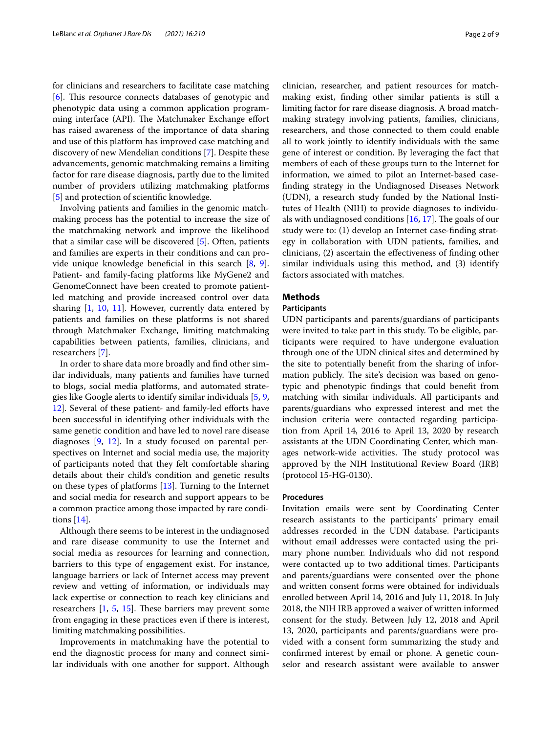for clinicians and researchers to facilitate case matching [[6\]](#page-8-3). This resource connects databases of genotypic and phenotypic data using a common application programming interface (API). The Matchmaker Exchange effort has raised awareness of the importance of data sharing and use of this platform has improved case matching and discovery of new Mendelian conditions [[7\]](#page-8-4). Despite these advancements, genomic matchmaking remains a limiting factor for rare disease diagnosis, partly due to the limited number of providers utilizing matchmaking platforms [[5\]](#page-8-2) and protection of scientific knowledge.

Involving patients and families in the genomic matchmaking process has the potential to increase the size of the matchmaking network and improve the likelihood that a similar case will be discovered [[5](#page-8-2)]. Often, patients and families are experts in their conditions and can provide unique knowledge benefcial in this search [[8,](#page-8-5) [9](#page-8-6)]. Patient- and family-facing platforms like MyGene2 and GenomeConnect have been created to promote patientled matching and provide increased control over data sharing [\[1](#page-8-0), [10](#page-8-7), [11](#page-8-8)]. However, currently data entered by patients and families on these platforms is not shared through Matchmaker Exchange, limiting matchmaking capabilities between patients, families, clinicians, and researchers [[7\]](#page-8-4).

In order to share data more broadly and fnd other similar individuals, many patients and families have turned to blogs, social media platforms, and automated strategies like Google alerts to identify similar individuals [[5,](#page-8-2) [9](#page-8-6), [12\]](#page-8-9). Several of these patient- and family-led efforts have been successful in identifying other individuals with the same genetic condition and have led to novel rare disease diagnoses [\[9](#page-8-6), [12\]](#page-8-9). In a study focused on parental perspectives on Internet and social media use, the majority of participants noted that they felt comfortable sharing details about their child's condition and genetic results on these types of platforms [[13\]](#page-8-10). Turning to the Internet and social media for research and support appears to be a common practice among those impacted by rare conditions [\[14](#page-8-11)].

Although there seems to be interest in the undiagnosed and rare disease community to use the Internet and social media as resources for learning and connection, barriers to this type of engagement exist. For instance, language barriers or lack of Internet access may prevent review and vetting of information, or individuals may lack expertise or connection to reach key clinicians and researchers  $[1, 5, 15]$  $[1, 5, 15]$  $[1, 5, 15]$  $[1, 5, 15]$  $[1, 5, 15]$  $[1, 5, 15]$ . These barriers may prevent some from engaging in these practices even if there is interest, limiting matchmaking possibilities.

Improvements in matchmaking have the potential to end the diagnostic process for many and connect similar individuals with one another for support. Although clinician, researcher, and patient resources for matchmaking exist, fnding other similar patients is still a limiting factor for rare disease diagnosis. A broad matchmaking strategy involving patients, families, clinicians, researchers, and those connected to them could enable all to work jointly to identify individuals with the same gene of interest or condition. By leveraging the fact that members of each of these groups turn to the Internet for information, we aimed to pilot an Internet-based casefnding strategy in the Undiagnosed Diseases Network (UDN), a research study funded by the National Institutes of Health (NIH) to provide diagnoses to individuals with undiagnosed conditions  $[16, 17]$  $[16, 17]$  $[16, 17]$  $[16, 17]$ . The goals of our study were to: (1) develop an Internet case-fnding strategy in collaboration with UDN patients, families, and clinicians, (2) ascertain the efectiveness of fnding other similar individuals using this method, and (3) identify factors associated with matches.

# **Methods**

# **Participants**

UDN participants and parents/guardians of participants were invited to take part in this study. To be eligible, participants were required to have undergone evaluation through one of the UDN clinical sites and determined by the site to potentially beneft from the sharing of information publicly. The site's decision was based on genotypic and phenotypic fndings that could beneft from matching with similar individuals. All participants and parents/guardians who expressed interest and met the inclusion criteria were contacted regarding participation from April 14, 2016 to April 13, 2020 by research assistants at the UDN Coordinating Center, which manages network-wide activities. The study protocol was approved by the NIH Institutional Review Board (IRB) (protocol 15-HG-0130).

#### **Procedures**

Invitation emails were sent by Coordinating Center research assistants to the participants' primary email addresses recorded in the UDN database. Participants without email addresses were contacted using the primary phone number. Individuals who did not respond were contacted up to two additional times. Participants and parents/guardians were consented over the phone and written consent forms were obtained for individuals enrolled between April 14, 2016 and July 11, 2018. In July 2018, the NIH IRB approved a waiver of written informed consent for the study. Between July 12, 2018 and April 13, 2020, participants and parents/guardians were provided with a consent form summarizing the study and confrmed interest by email or phone. A genetic counselor and research assistant were available to answer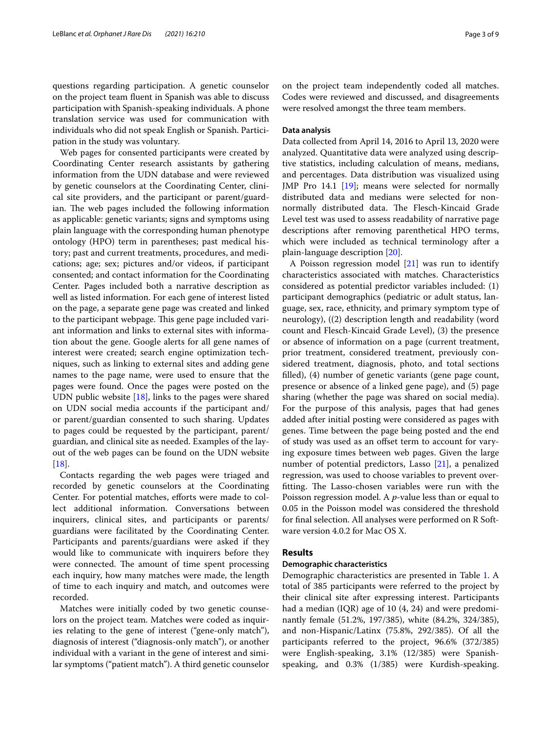questions regarding participation. A genetic counselor on the project team fuent in Spanish was able to discuss participation with Spanish-speaking individuals. A phone translation service was used for communication with individuals who did not speak English or Spanish. Participation in the study was voluntary.

Web pages for consented participants were created by Coordinating Center research assistants by gathering information from the UDN database and were reviewed by genetic counselors at the Coordinating Center, clinical site providers, and the participant or parent/guardian. The web pages included the following information as applicable: genetic variants; signs and symptoms using plain language with the corresponding human phenotype ontology (HPO) term in parentheses; past medical history; past and current treatments, procedures, and medications; age; sex; pictures and/or videos, if participant consented; and contact information for the Coordinating Center. Pages included both a narrative description as well as listed information. For each gene of interest listed on the page, a separate gene page was created and linked to the participant webpage. This gene page included variant information and links to external sites with information about the gene. Google alerts for all gene names of interest were created; search engine optimization techniques, such as linking to external sites and adding gene names to the page name, were used to ensure that the pages were found. Once the pages were posted on the UDN public website [[18\]](#page-8-15), links to the pages were shared on UDN social media accounts if the participant and/ or parent/guardian consented to such sharing. Updates to pages could be requested by the participant, parent/ guardian, and clinical site as needed. Examples of the layout of the web pages can be found on the UDN website [[18\]](#page-8-15).

Contacts regarding the web pages were triaged and recorded by genetic counselors at the Coordinating Center. For potential matches, efforts were made to collect additional information. Conversations between inquirers, clinical sites, and participants or parents/ guardians were facilitated by the Coordinating Center. Participants and parents/guardians were asked if they would like to communicate with inquirers before they were connected. The amount of time spent processing each inquiry, how many matches were made, the length of time to each inquiry and match, and outcomes were recorded.

Matches were initially coded by two genetic counselors on the project team. Matches were coded as inquiries relating to the gene of interest ("gene-only match"), diagnosis of interest ("diagnosis-only match"), or another individual with a variant in the gene of interest and similar symptoms ("patient match"). A third genetic counselor on the project team independently coded all matches. Codes were reviewed and discussed, and disagreements were resolved amongst the three team members.

# **Data analysis**

Data collected from April 14, 2016 to April 13, 2020 were analyzed. Quantitative data were analyzed using descriptive statistics, including calculation of means, medians, and percentages. Data distribution was visualized using JMP Pro 14.1 [[19](#page-8-16)]; means were selected for normally distributed data and medians were selected for nonnormally distributed data. The Flesch-Kincaid Grade Level test was used to assess readability of narrative page descriptions after removing parenthetical HPO terms, which were included as technical terminology after a plain-language description [\[20](#page-8-17)].

A Poisson regression model  $[21]$  $[21]$  was run to identify characteristics associated with matches. Characteristics considered as potential predictor variables included: (1) participant demographics (pediatric or adult status, language, sex, race, ethnicity, and primary symptom type of neurology), ((2) description length and readability (word count and Flesch-Kincaid Grade Level), (3) the presence or absence of information on a page (current treatment, prior treatment, considered treatment, previously considered treatment, diagnosis, photo, and total sections flled), (4) number of genetic variants (gene page count, presence or absence of a linked gene page), and (5) page sharing (whether the page was shared on social media). For the purpose of this analysis, pages that had genes added after initial posting were considered as pages with genes. Time between the page being posted and the end of study was used as an ofset term to account for varying exposure times between web pages. Given the large number of potential predictors, Lasso [[21\]](#page-8-18), a penalized regression, was used to choose variables to prevent overfitting. The Lasso-chosen variables were run with the Poisson regression model. A *p*-value less than or equal to 0.05 in the Poisson model was considered the threshold for fnal selection. All analyses were performed on R Software version 4.0.2 for Mac OS X.

# **Results**

# **Demographic characteristics**

Demographic characteristics are presented in Table [1](#page-3-0). A total of 385 participants were referred to the project by their clinical site after expressing interest. Participants had a median (IQR) age of 10 (4, 24) and were predominantly female (51.2%, 197/385), white (84.2%, 324/385), and non-Hispanic/Latinx (75.8%, 292/385). Of all the participants referred to the project, 96.6% (372/385) were English-speaking, 3.1% (12/385) were Spanishspeaking, and 0.3% (1/385) were Kurdish-speaking.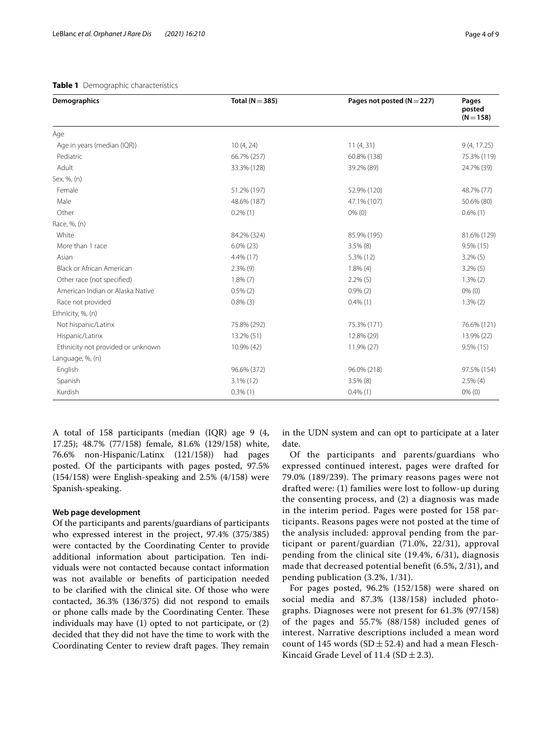## <span id="page-3-0"></span>**Table 1** Demographic characteristics

| <b>Demographics</b>               | Total ( $N = 385$ ) | Pages not posted ( $N = 227$ ) | Pages<br>posted<br>$(N = 158)$ |
|-----------------------------------|---------------------|--------------------------------|--------------------------------|
| Age                               |                     |                                |                                |
| Age in years (median (IQR))       | 10(4, 24)           | 11(4, 31)                      | 9(4, 17.25)                    |
| Pediatric                         | 66.7% (257)         | 60.8% (138)                    | 75.3% (119)                    |
| Adult                             | 33.3% (128)         | 39.2% (89)                     | 24.7% (39)                     |
| Sex, %, (n)                       |                     |                                |                                |
| Female                            | 51.2% (197)         | 52.9% (120)                    | 48.7% (77)                     |
| Male                              | 48.6% (187)         | 47.1% (107)                    | 50.6% (80)                     |
| Other                             | $0.2\%$ (1)         | $0\%$ (0)                      | $0.6\%$ (1)                    |
| Race, %, (n)                      |                     |                                |                                |
| White                             | 84.2% (324)         | 85.9% (195)                    | 81.6% (129)                    |
| More than 1 race                  | $6.0\%$ (23)        | $3.5\%$ (8)                    | $9.5\%$ (15)                   |
| Asian                             | 4.4% (17)           | 5.3% (12)                      | $3.2\%$ (5)                    |
| Black or African American         | $2.3\%$ (9)         | $1.8\%$ (4)                    | $3.2\%$ (5)                    |
| Other race (not specified)        | $1.8\%$ $(7)$       | $2.2\%$ (5)                    | $1.3\%$ $(2)$                  |
| American Indian or Alaska Native  | $0.5\%$ (2)         | $0.9\%$ $(2)$                  | $0\%$ (0)                      |
| Race not provided                 | $0.8\%$ (3)         | $0.4\%$ (1)                    | $1.3\%$ (2)                    |
| Ethnicity, %, (n)                 |                     |                                |                                |
| Not hispanic/Latinx               | 75.8% (292)         | 75.3% (171)                    | 76.6% (121)                    |
| Hispanic/Latinx                   | 13.2% (51)          | 12.8% (29)                     | 13.9% (22)                     |
| Ethnicity not provided or unknown | 10.9% (42)          | 11.9% (27)                     | $9.5\%$ (15)                   |
| Language, %, (n)                  |                     |                                |                                |
| English                           | 96.6% (372)         | 96.0% (218)                    | 97.5% (154)                    |
| Spanish                           | $3.1\%$ (12)        | $3.5\%$ (8)                    | $2.5\%$ (4)                    |
| Kurdish                           | $0.3\%$ (1)         | $0.4\%$ (1)                    | $0\%$ (0)                      |

A total of 158 participants (median (IQR) age 9 (4, 17.25); 48.7% (77/158) female, 81.6% (129/158) white, 76.6% non-Hispanic/Latinx (121/158)) had pages posted. Of the participants with pages posted, 97.5% (154/158) were English-speaking and 2.5% (4/158) were Spanish-speaking.

## **Web page development**

Of the participants and parents/guardians of participants who expressed interest in the project, 97.4% (375/385) were contacted by the Coordinating Center to provide additional information about participation. Ten individuals were not contacted because contact information was not available or benefts of participation needed to be clarifed with the clinical site. Of those who were contacted, 36.3% (136/375) did not respond to emails or phone calls made by the Coordinating Center. These individuals may have (1) opted to not participate, or (2) decided that they did not have the time to work with the Coordinating Center to review draft pages. They remain in the UDN system and can opt to participate at a later date.

Of the participants and parents/guardians who expressed continued interest, pages were drafted for 79.0% (189/239). The primary reasons pages were not drafted were: (1) families were lost to follow-up during the consenting process, and (2) a diagnosis was made in the interim period. Pages were posted for 158 participants. Reasons pages were not posted at the time of the analysis included: approval pending from the participant or parent/guardian (71.0%, 22/31), approval pending from the clinical site (19.4%, 6/31), diagnosis made that decreased potential benefit (6.5%, 2/31), and pending publication (3.2%, 1/31).

For pages posted, 96.2% (152/158) were shared on social media and 87.3% (138/158) included photographs. Diagnoses were not present for 61.3% (97/158) of the pages and 55.7% (88/158) included genes of interest. Narrative descriptions included a mean word count of 145 words (SD $\pm$ 52.4) and had a mean Flesch-Kincaid Grade Level of 11.4 (SD  $\pm$  2.3).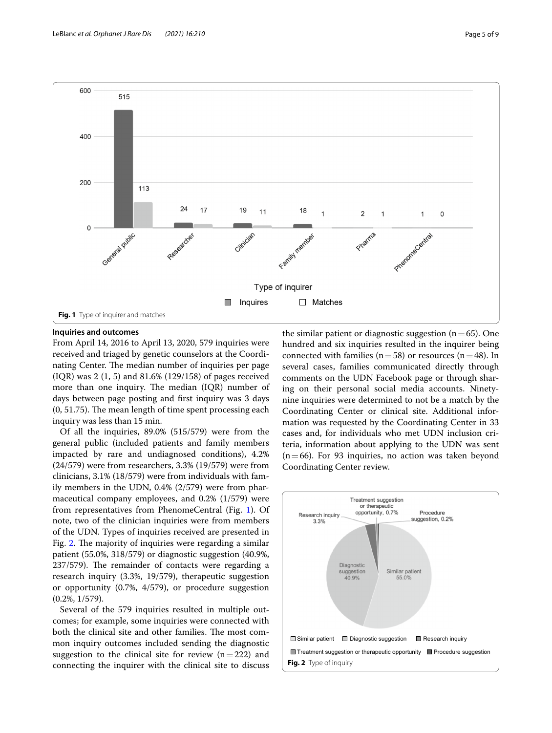

#### <span id="page-4-0"></span>**Inquiries and outcomes**

From April 14, 2016 to April 13, 2020, 579 inquiries were received and triaged by genetic counselors at the Coordinating Center. The median number of inquiries per page (IQR) was 2 (1, 5) and 81.6% (129/158) of pages received more than one inquiry. The median  $(IQR)$  number of days between page posting and frst inquiry was 3 days  $(0, 51.75)$ . The mean length of time spent processing each inquiry was less than 15 min.

Of all the inquiries, 89.0% (515/579) were from the general public (included patients and family members impacted by rare and undiagnosed conditions), 4.2% (24/579) were from researchers, 3.3% (19/579) were from clinicians, 3.1% (18/579) were from individuals with family members in the UDN, 0.4% (2/579) were from pharmaceutical company employees, and 0.2% (1/579) were from representatives from PhenomeCentral (Fig. [1\)](#page-4-0). Of note, two of the clinician inquiries were from members of the UDN. Types of inquiries received are presented in Fig. [2](#page-4-1). The majority of inquiries were regarding a similar patient (55.0%, 318/579) or diagnostic suggestion (40.9%, 237/579). The remainder of contacts were regarding a research inquiry (3.3%, 19/579), therapeutic suggestion or opportunity (0.7%, 4/579), or procedure suggestion (0.2%, 1/579).

Several of the 579 inquiries resulted in multiple outcomes; for example, some inquiries were connected with both the clinical site and other families. The most common inquiry outcomes included sending the diagnostic suggestion to the clinical site for review  $(n=222)$  and connecting the inquirer with the clinical site to discuss the similar patient or diagnostic suggestion  $(n=65)$ . One hundred and six inquiries resulted in the inquirer being connected with families ( $n=58$ ) or resources ( $n=48$ ). In several cases, families communicated directly through comments on the UDN Facebook page or through sharing on their personal social media accounts. Ninetynine inquiries were determined to not be a match by the Coordinating Center or clinical site. Additional information was requested by the Coordinating Center in 33 cases and, for individuals who met UDN inclusion criteria, information about applying to the UDN was sent  $(n=66)$ . For 93 inquiries, no action was taken beyond Coordinating Center review.

<span id="page-4-1"></span>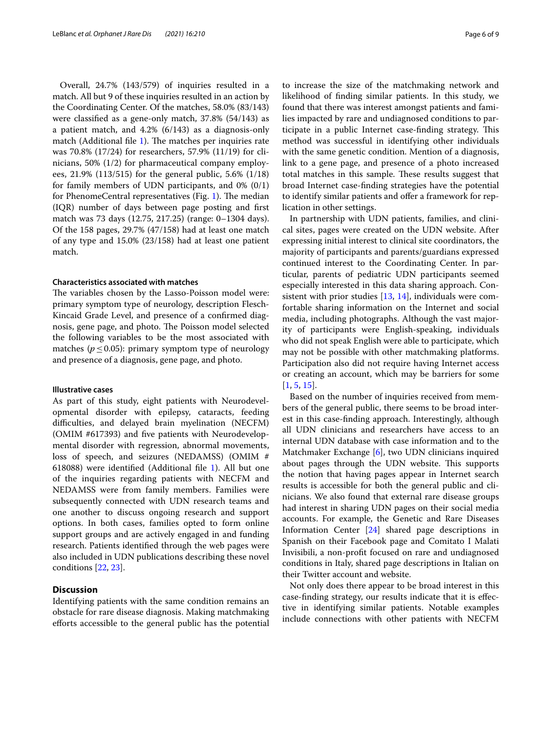Overall, 24.7% (143/579) of inquiries resulted in a match. All but 9 of these inquiries resulted in an action by the Coordinating Center. Of the matches, 58.0% (83/143) were classifed as a gene-only match, 37.8% (54/143) as a patient match, and 4.2% (6/143) as a diagnosis-only match (Additional file  $1$ ). The matches per inquiries rate was 70.8% (17/24) for researchers, 57.9% (11/19) for clinicians, 50% (1/2) for pharmaceutical company employees, 21.9% (113/515) for the general public, 5.6% (1/18) for family members of UDN participants, and 0% (0/1) for PhenomeCentral representatives (Fig. [1](#page-4-0)). The median (IQR) number of days between page posting and frst match was 73 days (12.75, 217.25) (range: 0–1304 days). Of the 158 pages, 29.7% (47/158) had at least one match of any type and 15.0% (23/158) had at least one patient match.

## **Characteristics associated with matches**

The variables chosen by the Lasso-Poisson model were: primary symptom type of neurology, description Flesch-Kincaid Grade Level, and presence of a confrmed diagnosis, gene page, and photo. The Poisson model selected the following variables to be the most associated with matches ( $p \leq 0.05$ ): primary symptom type of neurology and presence of a diagnosis, gene page, and photo.

#### **Illustrative cases**

As part of this study, eight patients with Neurodevelopmental disorder with epilepsy, cataracts, feeding difficulties, and delayed brain myelination (NECFM) (OMIM #617393) and fve patients with Neurodevelopmental disorder with regression, abnormal movements, loss of speech, and seizures (NEDAMSS) (OMIM # 618088) were identifed (Additional fle [1](#page-7-0)). All but one of the inquiries regarding patients with NECFM and NEDAMSS were from family members. Families were subsequently connected with UDN research teams and one another to discuss ongoing research and support options. In both cases, families opted to form online support groups and are actively engaged in and funding research. Patients identifed through the web pages were also included in UDN publications describing these novel conditions [\[22](#page-8-19), [23\]](#page-8-20).

# **Discussion**

Identifying patients with the same condition remains an obstacle for rare disease diagnosis. Making matchmaking eforts accessible to the general public has the potential to increase the size of the matchmaking network and likelihood of fnding similar patients. In this study, we found that there was interest amongst patients and families impacted by rare and undiagnosed conditions to participate in a public Internet case-finding strategy. This method was successful in identifying other individuals with the same genetic condition. Mention of a diagnosis, link to a gene page, and presence of a photo increased total matches in this sample. These results suggest that broad Internet case-fnding strategies have the potential to identify similar patients and offer a framework for replication in other settings.

In partnership with UDN patients, families, and clinical sites, pages were created on the UDN website. After expressing initial interest to clinical site coordinators, the majority of participants and parents/guardians expressed continued interest to the Coordinating Center. In particular, parents of pediatric UDN participants seemed especially interested in this data sharing approach. Consistent with prior studies [[13,](#page-8-10) [14\]](#page-8-11), individuals were comfortable sharing information on the Internet and social media, including photographs. Although the vast majority of participants were English-speaking, individuals who did not speak English were able to participate, which may not be possible with other matchmaking platforms. Participation also did not require having Internet access or creating an account, which may be barriers for some  $[1, 5, 15]$  $[1, 5, 15]$  $[1, 5, 15]$  $[1, 5, 15]$  $[1, 5, 15]$ .

Based on the number of inquiries received from members of the general public, there seems to be broad interest in this case-fnding approach. Interestingly, although all UDN clinicians and researchers have access to an internal UDN database with case information and to the Matchmaker Exchange [\[6](#page-8-3)], two UDN clinicians inquired about pages through the UDN website. This supports the notion that having pages appear in Internet search results is accessible for both the general public and clinicians. We also found that external rare disease groups had interest in sharing UDN pages on their social media accounts. For example, the Genetic and Rare Diseases Information Center [\[24](#page-8-21)] shared page descriptions in Spanish on their Facebook page and Comitato I Malati Invisibili, a non-proft focused on rare and undiagnosed conditions in Italy, shared page descriptions in Italian on their Twitter account and website.

Not only does there appear to be broad interest in this case-fnding strategy, our results indicate that it is efective in identifying similar patients. Notable examples include connections with other patients with NECFM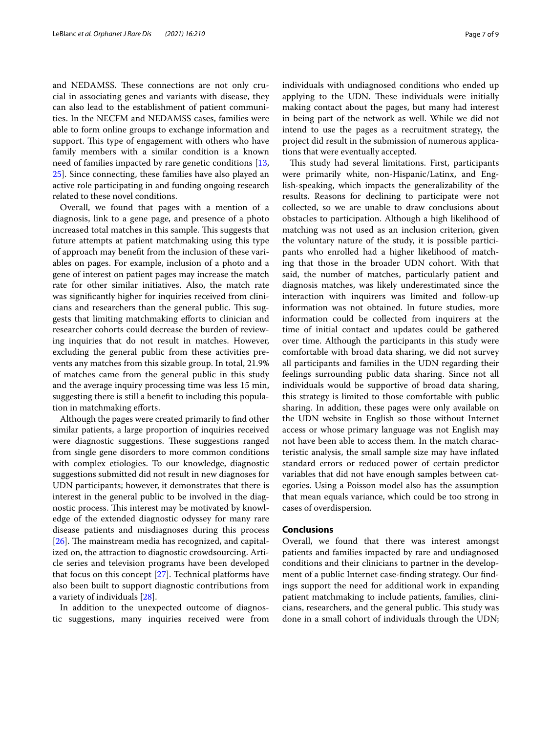and NEDAMSS. These connections are not only crucial in associating genes and variants with disease, they can also lead to the establishment of patient communities. In the NECFM and NEDAMSS cases, families were able to form online groups to exchange information and support. This type of engagement with others who have family members with a similar condition is a known need of families impacted by rare genetic conditions [\[13](#page-8-10), [25\]](#page-8-22). Since connecting, these families have also played an active role participating in and funding ongoing research related to these novel conditions.

Overall, we found that pages with a mention of a diagnosis, link to a gene page, and presence of a photo increased total matches in this sample. This suggests that future attempts at patient matchmaking using this type of approach may beneft from the inclusion of these variables on pages. For example, inclusion of a photo and a gene of interest on patient pages may increase the match rate for other similar initiatives. Also, the match rate was signifcantly higher for inquiries received from clinicians and researchers than the general public. This suggests that limiting matchmaking eforts to clinician and researcher cohorts could decrease the burden of reviewing inquiries that do not result in matches. However, excluding the general public from these activities prevents any matches from this sizable group. In total, 21.9% of matches came from the general public in this study and the average inquiry processing time was less 15 min, suggesting there is still a beneft to including this population in matchmaking efforts.

Although the pages were created primarily to fnd other similar patients, a large proportion of inquiries received were diagnostic suggestions. These suggestions ranged from single gene disorders to more common conditions with complex etiologies. To our knowledge, diagnostic suggestions submitted did not result in new diagnoses for UDN participants; however, it demonstrates that there is interest in the general public to be involved in the diagnostic process. This interest may be motivated by knowledge of the extended diagnostic odyssey for many rare disease patients and misdiagnoses during this process  $[26]$  $[26]$ . The mainstream media has recognized, and capitalized on, the attraction to diagnostic crowdsourcing. Article series and television programs have been developed that focus on this concept [\[27](#page-8-24)]. Technical platforms have also been built to support diagnostic contributions from a variety of individuals [\[28](#page-8-25)].

In addition to the unexpected outcome of diagnostic suggestions, many inquiries received were from individuals with undiagnosed conditions who ended up applying to the UDN. These individuals were initially making contact about the pages, but many had interest in being part of the network as well. While we did not intend to use the pages as a recruitment strategy, the project did result in the submission of numerous applications that were eventually accepted.

This study had several limitations. First, participants were primarily white, non-Hispanic/Latinx, and English-speaking, which impacts the generalizability of the results. Reasons for declining to participate were not collected, so we are unable to draw conclusions about obstacles to participation. Although a high likelihood of matching was not used as an inclusion criterion, given the voluntary nature of the study, it is possible participants who enrolled had a higher likelihood of matching that those in the broader UDN cohort. With that said, the number of matches, particularly patient and diagnosis matches, was likely underestimated since the interaction with inquirers was limited and follow-up information was not obtained. In future studies, more information could be collected from inquirers at the time of initial contact and updates could be gathered over time. Although the participants in this study were comfortable with broad data sharing, we did not survey all participants and families in the UDN regarding their feelings surrounding public data sharing. Since not all individuals would be supportive of broad data sharing, this strategy is limited to those comfortable with public sharing. In addition, these pages were only available on the UDN website in English so those without Internet access or whose primary language was not English may not have been able to access them. In the match characteristic analysis, the small sample size may have infated standard errors or reduced power of certain predictor variables that did not have enough samples between categories. Using a Poisson model also has the assumption that mean equals variance, which could be too strong in cases of overdispersion.

## **Conclusions**

Overall, we found that there was interest amongst patients and families impacted by rare and undiagnosed conditions and their clinicians to partner in the development of a public Internet case-fnding strategy. Our fndings support the need for additional work in expanding patient matchmaking to include patients, families, clinicians, researchers, and the general public. This study was done in a small cohort of individuals through the UDN;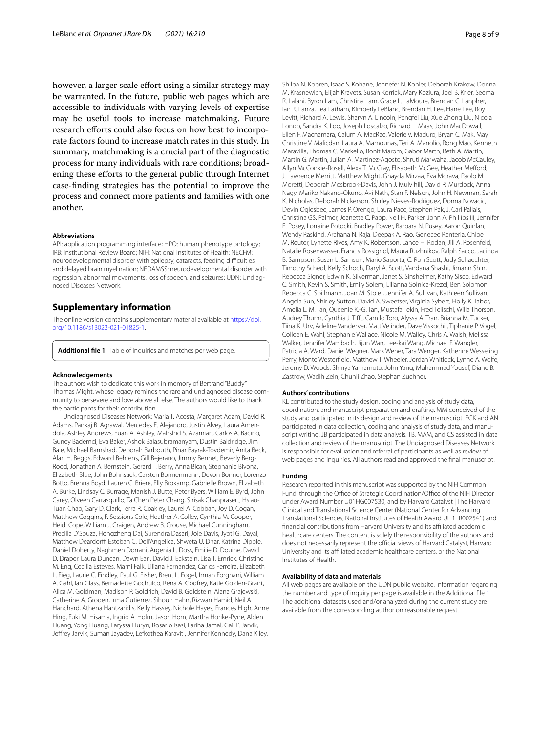however, a larger scale effort using a similar strategy may be warranted. In the future, public web pages which are accessible to individuals with varying levels of expertise may be useful tools to increase matchmaking. Future research efforts could also focus on how best to incorporate factors found to increase match rates in this study. In summary, matchmaking is a crucial part of the diagnostic process for many individuals with rare conditions; broadening these eforts to the general public through Internet case-fnding strategies has the potential to improve the process and connect more patients and families with one another.

#### **Abbreviations**

API: application programming interface; HPO: human phenotype ontology; IRB: Institutional Review Board; NIH: National Institutes of Health; NECFM: neurodevelopmental disorder with epilepsy, cataracts, feeding difficulties, and delayed brain myelination; NEDAMSS: neurodevelopmental disorder with regression, abnormal movements, loss of speech, and seizures; UDN: Undiagnosed Diseases Network.

# **Supplementary information**

The online version contains supplementary material available at [https://doi.](https://doi.org/10.1186/s13023-021-01825-1) [org/10.1186/s13023-021-01825-1](https://doi.org/10.1186/s13023-021-01825-1).

<span id="page-7-0"></span>**Additional fle 1**: Table of inquiries and matches per web page.

#### **Acknowledgements**

The authors wish to dedicate this work in memory of Bertrand "Buddy" Thomas Might, whose legacy reminds the rare and undiagnosed disease community to persevere and love above all else. The authors would like to thank the participants for their contribution.

Undiagnosed Diseases Network: Maria T. Acosta, Margaret Adam, David R. Adams, Pankaj B. Agrawal, Mercedes E. Alejandro, Justin Alvey, Laura Amendola, Ashley Andrews, Euan A. Ashley, Mahshid S. Azamian, Carlos A. Bacino, Guney Bademci, Eva Baker, Ashok Balasubramanyam, Dustin Baldridge, Jim Bale, Michael Bamshad, Deborah Barbouth, Pinar Bayrak-Toydemir, Anita Beck, Alan H. Beggs, Edward Behrens, Gill Bejerano, Jimmy Bennet, Beverly Berg-Rood, Jonathan A. Bernstein, Gerard T. Berry, Anna Bican, Stephanie Bivona, Elizabeth Blue, John Bohnsack, Carsten Bonnenmann, Devon Bonner, Lorenzo Botto, Brenna Boyd, Lauren C. Briere, Elly Brokamp, Gabrielle Brown, Elizabeth A. Burke, Lindsay C. Burrage, Manish J. Butte, Peter Byers, William E. Byrd, John Carey, Olveen Carrasquillo, Ta Chen Peter Chang, Sirisak Chanprasert, Hsiao-Tuan Chao, Gary D. Clark, Terra R. Coakley, Laurel A. Cobban, Joy D. Cogan, Matthew Coggins, F. Sessions Cole, Heather A. Colley, Cynthia M. Cooper, Heidi Cope, William J. Craigen, Andrew B. Crouse, Michael Cunningham, Precilla D'Souza, Hongzheng Dai, Surendra Dasari, Joie Davis, Jyoti G. Dayal, Matthew Deardorf, Esteban C. Dell'Angelica, Shweta U. Dhar, Katrina Dipple, Daniel Doherty, Naghmeh Dorrani, Argenia L. Doss, Emilie D. Douine, David D. Draper, Laura Duncan, Dawn Earl, David J. Eckstein, Lisa T. Emrick, Christine M. Eng, Cecilia Esteves, Marni Falk, Liliana Fernandez, Carlos Ferreira, Elizabeth L. Fieg, Laurie C. Findley, Paul G. Fisher, Brent L. Fogel, Irman Forghani, William A. Gahl, Ian Glass, Bernadette Gochuico, Rena A. Godfrey, Katie Golden-Grant, Alica M. Goldman, Madison P. Goldrich, David B. Goldstein, Alana Grajewski, Catherine A. Groden, Irma Gutierrez, Sihoun Hahn, Rizwan Hamid, Neil A. Hanchard, Athena Hantzaridis, Kelly Hassey, Nichole Hayes, Frances High, Anne Hing, Fuki M. Hisama, Ingrid A. Holm, Jason Hom, Martha Horike-Pyne, Alden Huang, Yong Huang, Laryssa Huryn, Rosario Isasi, Fariha Jamal, Gail P. Jarvik, Jefrey Jarvik, Suman Jayadev, Lefkothea Karaviti, Jennifer Kennedy, Dana Kiley,

Shilpa N. Kobren, Isaac S. Kohane, Jennefer N. Kohler, Deborah Krakow, Donna M. Krasnewich, Elijah Kravets, Susan Korrick, Mary Koziura, Joel B. Krier, Seema R. Lalani, Byron Lam, Christina Lam, Grace L. LaMoure, Brendan C. Lanpher, Ian R. Lanza, Lea Latham, Kimberly LeBlanc, Brendan H. Lee, Hane Lee, Roy Levitt, Richard A. Lewis, Sharyn A. Lincoln, Pengfei Liu, Xue Zhong Liu, Nicola Longo, Sandra K. Loo, Joseph Loscalzo, Richard L. Maas, John MacDowall, Ellen F. Macnamara, Calum A. MacRae, Valerie V. Maduro, Bryan C. Mak, May Christine V. Malicdan, Laura A. Mamounas, Teri A. Manolio, Rong Mao, Kenneth Maravilla, Thomas C. Markello, Ronit Marom, Gabor Marth, Beth A. Martin, Martin G. Martin, Julian A. Martínez-Agosto, Shruti Marwaha, Jacob McCauley, Allyn McConkie-Rosell, Alexa T. McCray, Elisabeth McGee, Heather Mefford, J. Lawrence Merritt, Matthew Might, Ghayda Mirzaa, Eva Morava, Paolo M. Moretti, Deborah Mosbrook-Davis, John J. Mulvihill, David R. Murdock, Anna Nagy, Mariko Nakano-Okuno, Avi Nath, Stan F. Nelson, John H. Newman, Sarah K. Nicholas, Deborah Nickerson, Shirley Nieves-Rodriguez, Donna Novacic, Devin Oglesbee, James P. Orengo, Laura Pace, Stephen Pak, J. Carl Pallais, Christina GS. Palmer, Jeanette C. Papp, Neil H. Parker, John A. Phillips III, Jennifer E. Posey, Lorraine Potocki, Bradley Power, Barbara N. Pusey, Aaron Quinlan, Wendy Raskind, Archana N. Raja, Deepak A. Rao, Genecee Renteria, Chloe M. Reuter, Lynette Rives, Amy K. Robertson, Lance H. Rodan, Jill A. Rosenfeld, Natalie Rosenwasser, Francis Rossignol, Maura Ruzhnikov, Ralph Sacco, Jacinda B. Sampson, Susan L. Samson, Mario Saporta, C. Ron Scott, Judy Schaechter, Timothy Schedl, Kelly Schoch, Daryl A. Scott, Vandana Shashi, Jimann Shin, Rebecca Signer, Edwin K. Silverman, Janet S. Sinsheimer, Kathy Sisco, Edward C. Smith, Kevin S. Smith, Emily Solem, Lilianna Solnica-Krezel, Ben Solomon, Rebecca C. Spillmann, Joan M. Stoler, Jennifer A. Sullivan, Kathleen Sullivan, Angela Sun, Shirley Sutton, David A. Sweetser, Virginia Sybert, Holly K. Tabor, Amelia L. M. Tan, Queenie K.-G. Tan, Mustafa Tekin, Fred Telischi, Willa Thorson, Audrey Thurm, Cynthia J. Tift, Camilo Toro, Alyssa A. Tran, Brianna M. Tucker, Tiina K. Urv, Adeline Vanderver, Matt Velinder, Dave Viskochil, Tiphanie P. Vogel, Colleen E. Wahl, Stephanie Wallace, Nicole M. Walley, Chris A. Walsh, Melissa Walker, Jennifer Wambach, Jijun Wan, Lee-kai Wang, Michael F. Wangler, Patricia A. Ward, Daniel Wegner, Mark Wener, Tara Wenger, Katherine Wesseling Perry, Monte Westerfeld, Matthew T. Wheeler, Jordan Whitlock, Lynne A. Wolfe, Jeremy D. Woods, Shinya Yamamoto, John Yang, Muhammad Yousef, Diane B. Zastrow, Wadih Zein, Chunli Zhao, Stephan Zuchner.

#### **Authors' contributions**

KL contributed to the study design, coding and analysis of study data, coordination, and manuscript preparation and drafting. MM conceived of the study and participated in its design and review of the manuscript. EGK and AN participated in data collection, coding and analysis of study data, and manuscript writing. JB participated in data analysis. TB, MAM, and CS assisted in data collection and review of the manuscript. The Undiagnosed Diseases Network is responsible for evaluation and referral of participants as well as review of web pages and inquiries. All authors read and approved the fnal manuscript.

#### **Funding**

Research reported in this manuscript was supported by the NIH Common Fund, through the Office of Strategic Coordination/Office of the NIH Director under Award Number U01HG007530, and by Harvard Catalyst | The Harvard Clinical and Translational Science Center (National Center for Advancing Translational Sciences, National Institutes of Health Award UL 1TR002541) and fnancial contributions from Harvard University and its afliated academic healthcare centers. The content is solely the responsibility of the authors and does not necessarily represent the official views of Harvard Catalyst, Harvard University and its afliated academic healthcare centers, or the National Institutes of Health.

#### **Availability of data and materials**

All web pages are available on the UDN public website. Information regarding the number and type of inquiry per page is available in the Additional file [1](#page-7-0). The additional datasets used and/or analyzed during the current study are available from the corresponding author on reasonable request.